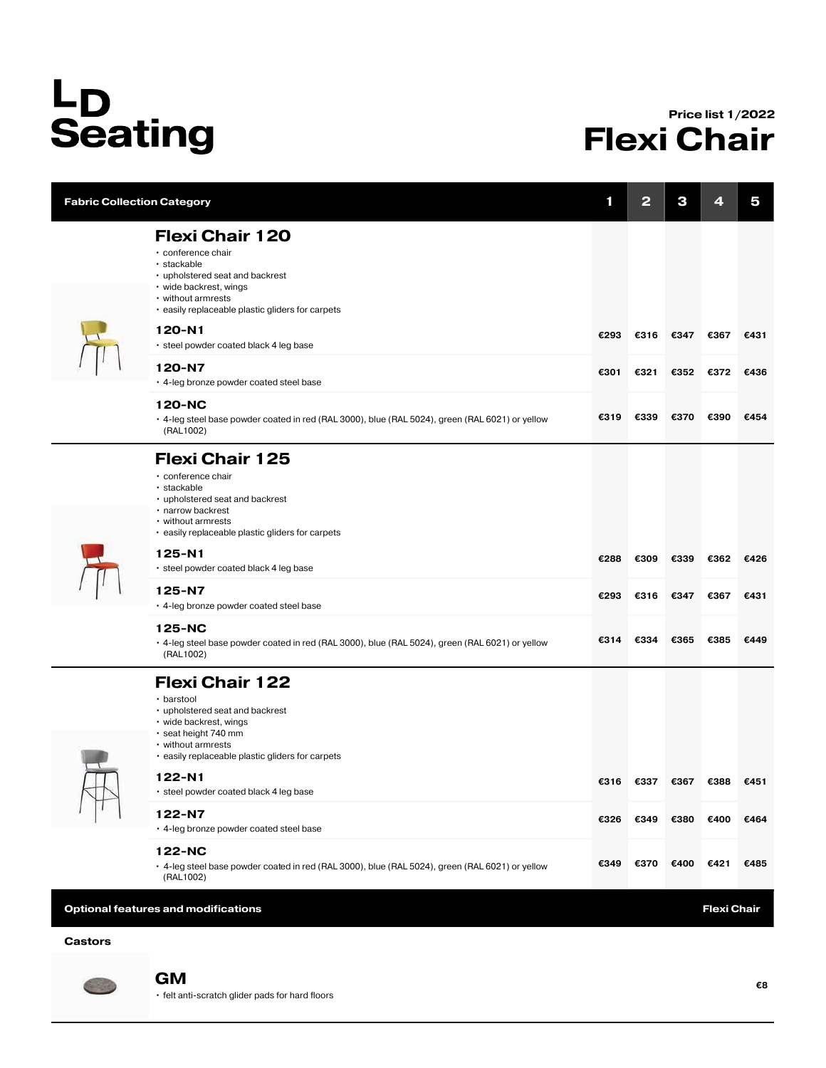## L<sub>D</sub><br>Seating

## Price list 1/2022 Flexi Chair

| <b>Fabric Collection Category</b>          |                                                                                                                                                                                                     | 1    | 2    | З                  | 4    | 5    |  |
|--------------------------------------------|-----------------------------------------------------------------------------------------------------------------------------------------------------------------------------------------------------|------|------|--------------------|------|------|--|
|                                            | <b>Flexi Chair 120</b><br>• conference chair<br>· stackable<br>• upholstered seat and backrest<br>• wide backrest, wings<br>• without armrests<br>. easily replaceable plastic gliders for carpets  |      |      |                    |      |      |  |
|                                            | 120-N1<br>• steel powder coated black 4 leg base                                                                                                                                                    | €293 | €316 | €347               | €367 | €431 |  |
|                                            | 120-N7<br>• 4-leg bronze powder coated steel base                                                                                                                                                   | €301 | €321 | €352               | €372 | €436 |  |
|                                            | 120-NC<br>. 4-leg steel base powder coated in red (RAL 3000), blue (RAL 5024), green (RAL 6021) or yellow<br>(RAL1002)                                                                              | €319 | €339 | €370               | €390 | €454 |  |
|                                            | <b>Flexi Chair 125</b><br>· conference chair<br>· stackable<br>• upholstered seat and backrest<br>· narrow backrest<br>• without armrests<br>. easily replaceable plastic gliders for carpets       |      |      |                    |      |      |  |
|                                            | $125 - N1$<br>• steel powder coated black 4 leg base                                                                                                                                                | €288 | €309 | €339               | €362 | €426 |  |
|                                            | 125-N7<br>. 4-leg bronze powder coated steel base                                                                                                                                                   | €293 | €316 | €347               | €367 | €431 |  |
|                                            | 125-NC<br>. 4-leg steel base powder coated in red (RAL 3000), blue (RAL 5024), green (RAL 6021) or yellow<br>(RAL1002)                                                                              | €314 | €334 | €365               | €385 | €449 |  |
|                                            | <b>Flexi Chair 122</b><br>· barstool<br>• upholstered seat and backrest<br>• wide backrest, wings<br>· seat height 740 mm<br>• without armrests<br>. easily replaceable plastic gliders for carpets |      |      |                    |      |      |  |
|                                            | 122-N1<br>· steel powder coated black 4 leg base                                                                                                                                                    | €316 | €337 | €367               | €388 | €451 |  |
|                                            | 122-N7<br>• 4-leg bronze powder coated steel base                                                                                                                                                   | €326 | €349 | €380               | €400 | €464 |  |
|                                            | 122-NC<br>• 4-leg steel base powder coated in red (RAL 3000), blue (RAL 5024), green (RAL 6021) or yellow<br>(RAL1002)                                                                              | €349 | €370 | €400               | €421 | €485 |  |
| <b>Optional features and modifications</b> |                                                                                                                                                                                                     |      |      | <b>Flexi Chair</b> |      |      |  |

## Castors



• felt anti-scratch glider pads for hard floors